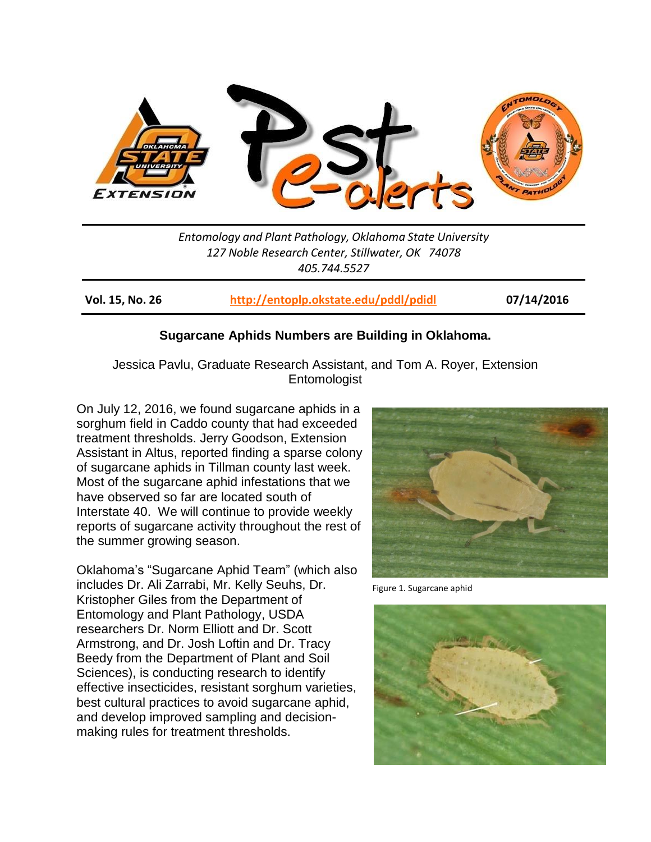

*Entomology and Plant Pathology, Oklahoma State University 127 Noble Research Center, Stillwater, OK 74078 405.744.5527*

**Vol. 15, No. 26 <http://entoplp.okstate.edu/pddl/pdidl> 07/14/2016**

## **Sugarcane Aphids Numbers are Building in Oklahoma.**

Jessica Pavlu, Graduate Research Assistant, and Tom A. Royer, Extension Entomologist

On July 12, 2016, we found sugarcane aphids in a sorghum field in Caddo county that had exceeded treatment thresholds. Jerry Goodson, Extension Assistant in Altus, reported finding a sparse colony of sugarcane aphids in Tillman county last week. Most of the sugarcane aphid infestations that we have observed so far are located south of Interstate 40. We will continue to provide weekly reports of sugarcane activity throughout the rest of the summer growing season.

Oklahoma's "Sugarcane Aphid Team" (which also includes Dr. Ali Zarrabi, Mr. Kelly Seuhs, Dr. Kristopher Giles from the Department of Entomology and Plant Pathology, USDA researchers Dr. Norm Elliott and Dr. Scott Armstrong, and Dr. Josh Loftin and Dr. Tracy Beedy from the Department of Plant and Soil Sciences), is conducting research to identify effective insecticides, resistant sorghum varieties, best cultural practices to avoid sugarcane aphid, and develop improved sampling and decisionmaking rules for treatment thresholds.



Figure 1. Sugarcane aphid

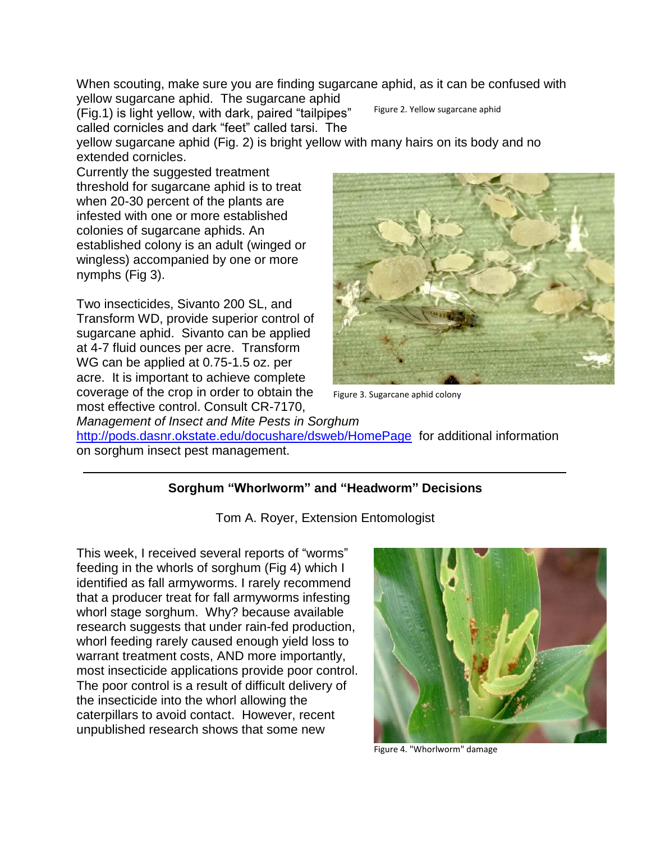When scouting, make sure you are finding sugarcane aphid, as it can be confused with yellow sugarcane aphid. The sugarcane aphid

(Fig.1) is light yellow, with dark, paired "tailpipes" called cornicles and dark "feet" called tarsi. The

Figure 2. Yellow sugarcane aphid

yellow sugarcane aphid (Fig. 2) is bright yellow with many hairs on its body and no extended cornicles.

Currently the suggested treatment threshold for sugarcane aphid is to treat when 20-30 percent of the plants are infested with one or more established colonies of sugarcane aphids. An established colony is an adult (winged or wingless) accompanied by one or more nymphs (Fig 3).

Two insecticides, Sivanto 200 SL, and Transform WD, provide superior control of sugarcane aphid. Sivanto can be applied at 4-7 fluid ounces per acre. Transform WG can be applied at 0.75-1.5 oz. per acre. It is important to achieve complete coverage of the crop in order to obtain the most effective control. Consult CR-7170,



Figure 3. Sugarcane aphid colony

*Management of Insect and Mite Pests in Sorghum* <http://pods.dasnr.okstate.edu/docushare/dsweb/HomePage> for additional information on sorghum insect pest management.

## **Sorghum "Whorlworm" and "Headworm" Decisions**

Tom A. Royer, Extension Entomologist

This week, I received several reports of "worms" feeding in the whorls of sorghum (Fig 4) which I identified as fall armyworms. I rarely recommend that a producer treat for fall armyworms infesting whorl stage sorghum. Why? because available research suggests that under rain-fed production, whorl feeding rarely caused enough yield loss to warrant treatment costs, AND more importantly, most insecticide applications provide poor control. The poor control is a result of difficult delivery of the insecticide into the whorl allowing the caterpillars to avoid contact. However, recent unpublished research shows that some new



Figure 4. "Whorlworm" damage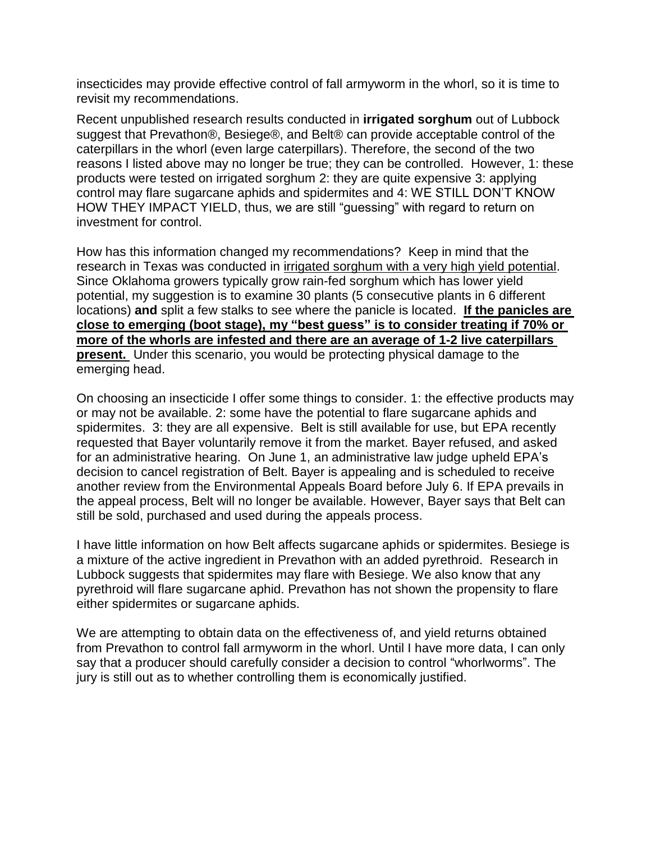insecticides may provide effective control of fall armyworm in the whorl, so it is time to revisit my recommendations.

Recent unpublished research results conducted in **irrigated sorghum** out of Lubbock suggest that Prevathon®, Besiege®, and Belt® can provide acceptable control of the caterpillars in the whorl (even large caterpillars). Therefore, the second of the two reasons I listed above may no longer be true; they can be controlled. However, 1: these products were tested on irrigated sorghum 2: they are quite expensive 3: applying control may flare sugarcane aphids and spidermites and 4: WE STILL DON'T KNOW HOW THEY IMPACT YIELD, thus, we are still "guessing" with regard to return on investment for control.

How has this information changed my recommendations? Keep in mind that the research in Texas was conducted in irrigated sorghum with a very high yield potential. Since Oklahoma growers typically grow rain-fed sorghum which has lower yield potential, my suggestion is to examine 30 plants (5 consecutive plants in 6 different locations) **and** split a few stalks to see where the panicle is located. **If the panicles are close to emerging (boot stage), my "best guess" is to consider treating if 70% or more of the whorls are infested and there are an average of 1-2 live caterpillars present.** Under this scenario, you would be protecting physical damage to the emerging head.

On choosing an insecticide I offer some things to consider. 1: the effective products may or may not be available. 2: some have the potential to flare sugarcane aphids and spidermites. 3: they are all expensive. Belt is still available for use, but EPA recently requested that Bayer voluntarily remove it from the market. Bayer refused, and asked for an administrative hearing. On June 1, an administrative law judge upheld EPA's decision to cancel registration of Belt. Bayer is appealing and is scheduled to receive another review from the Environmental Appeals Board before July 6. If EPA prevails in the appeal process, Belt will no longer be available. However, Bayer says that Belt can still be sold, purchased and used during the appeals process.

I have little information on how Belt affects sugarcane aphids or spidermites. Besiege is a mixture of the active ingredient in Prevathon with an added pyrethroid. Research in Lubbock suggests that spidermites may flare with Besiege. We also know that any pyrethroid will flare sugarcane aphid. Prevathon has not shown the propensity to flare either spidermites or sugarcane aphids.

We are attempting to obtain data on the effectiveness of, and yield returns obtained from Prevathon to control fall armyworm in the whorl. Until I have more data, I can only say that a producer should carefully consider a decision to control "whorlworms". The jury is still out as to whether controlling them is economically justified.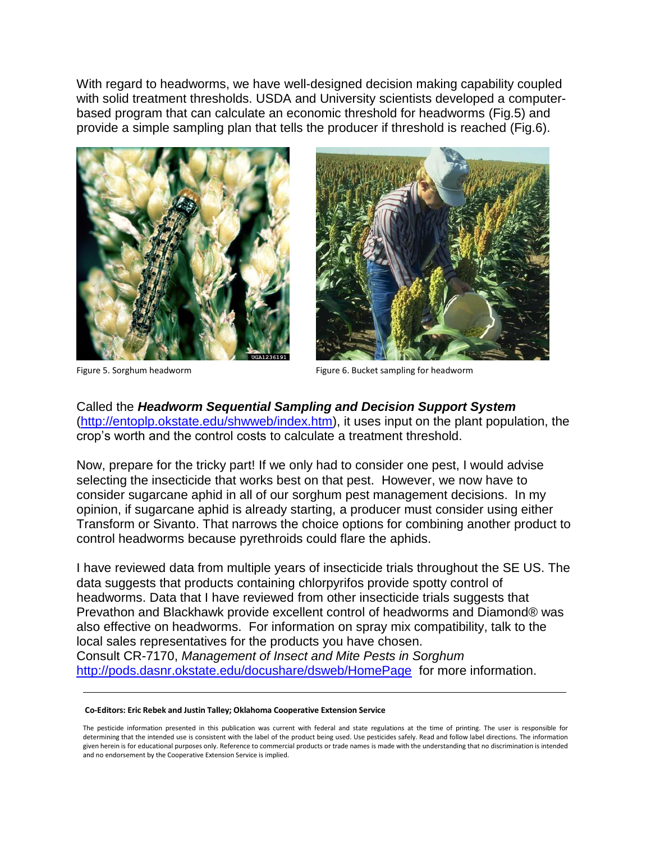With regard to headworms, we have well-designed decision making capability coupled with solid treatment thresholds. USDA and University scientists developed a computerbased program that can calculate an economic threshold for headworms (Fig.5) and provide a simple sampling plan that tells the producer if threshold is reached (Fig.6).





Figure 5. Sorghum headworm Figure 6. Bucket sampling for headworm

Called the *Headworm Sequential Sampling and Decision Support System* [\(http://entoplp.okstate.edu/shwweb/index.htm\)](http://entoplp.okstate.edu/shwweb/index.htm), it uses input on the plant population, the crop's worth and the control costs to calculate a treatment threshold.

Now, prepare for the tricky part! If we only had to consider one pest, I would advise selecting the insecticide that works best on that pest. However, we now have to consider sugarcane aphid in all of our sorghum pest management decisions. In my opinion, if sugarcane aphid is already starting, a producer must consider using either Transform or Sivanto. That narrows the choice options for combining another product to control headworms because pyrethroids could flare the aphids.

I have reviewed data from multiple years of insecticide trials throughout the SE US. The data suggests that products containing chlorpyrifos provide spotty control of headworms. Data that I have reviewed from other insecticide trials suggests that Prevathon and Blackhawk provide excellent control of headworms and Diamond® was also effective on headworms. For information on spray mix compatibility, talk to the local sales representatives for the products you have chosen. Consult CR-7170, *Management of Insect and Mite Pests in Sorghum*

<http://pods.dasnr.okstate.edu/docushare/dsweb/HomePage> for more information.

## **Co-Editors: Eric Rebek and Justin Talley; Oklahoma Cooperative Extension Service**

The pesticide information presented in this publication was current with federal and state regulations at the time of printing. The user is responsible for determining that the intended use is consistent with the label of the product being used. Use pesticides safely. Read and follow label directions. The information given herein is for educational purposes only. Reference to commercial products or trade names is made with the understanding that no discrimination is intended and no endorsement by the Cooperative Extension Service is implied.